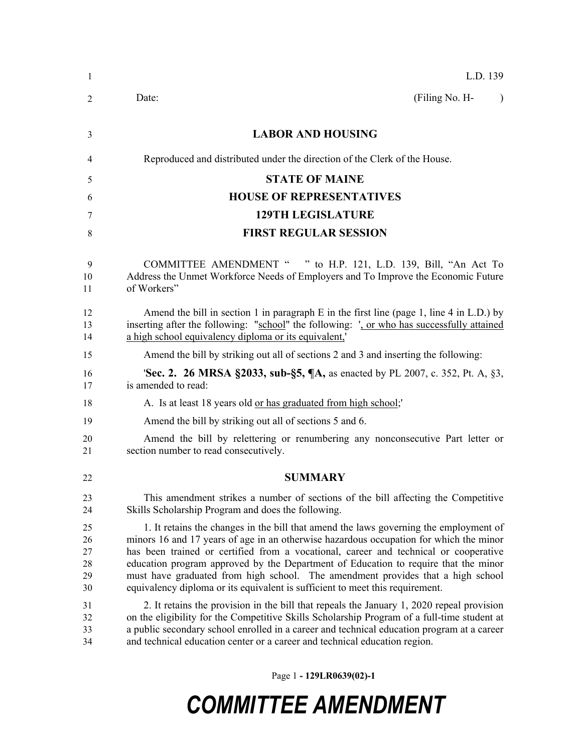| $\mathbf{1}$                     | L.D. 139                                                                                                                                                                                                                                                                                                                                                                                                                                                                                                                           |
|----------------------------------|------------------------------------------------------------------------------------------------------------------------------------------------------------------------------------------------------------------------------------------------------------------------------------------------------------------------------------------------------------------------------------------------------------------------------------------------------------------------------------------------------------------------------------|
| 2                                | (Filing No. H-<br>Date:<br>$\lambda$                                                                                                                                                                                                                                                                                                                                                                                                                                                                                               |
| 3                                | <b>LABOR AND HOUSING</b>                                                                                                                                                                                                                                                                                                                                                                                                                                                                                                           |
| 4                                | Reproduced and distributed under the direction of the Clerk of the House.                                                                                                                                                                                                                                                                                                                                                                                                                                                          |
| 5                                | <b>STATE OF MAINE</b>                                                                                                                                                                                                                                                                                                                                                                                                                                                                                                              |
| 6                                | <b>HOUSE OF REPRESENTATIVES</b>                                                                                                                                                                                                                                                                                                                                                                                                                                                                                                    |
| 7                                | <b>129TH LEGISLATURE</b>                                                                                                                                                                                                                                                                                                                                                                                                                                                                                                           |
| 8                                | <b>FIRST REGULAR SESSION</b>                                                                                                                                                                                                                                                                                                                                                                                                                                                                                                       |
| 9<br>10<br>11                    | COMMITTEE AMENDMENT " " to H.P. 121, L.D. 139, Bill, "An Act To<br>Address the Unmet Workforce Needs of Employers and To Improve the Economic Future<br>of Workers"                                                                                                                                                                                                                                                                                                                                                                |
| 12<br>13<br>14                   | Amend the bill in section 1 in paragraph E in the first line (page 1, line 4 in L.D.) by<br>inserting after the following: "school" the following: ', or who has successfully attained<br>a high school equivalency diploma or its equivalent,                                                                                                                                                                                                                                                                                     |
| 15                               | Amend the bill by striking out all of sections 2 and 3 and inserting the following:                                                                                                                                                                                                                                                                                                                                                                                                                                                |
| 16<br>17                         | <b>Sec. 2. 26 MRSA §2033, sub-§5, ¶A, as enacted by PL 2007, c. 352, Pt. A, §3,</b><br>is amended to read:                                                                                                                                                                                                                                                                                                                                                                                                                         |
| 18                               | A. Is at least 18 years old or has graduated from high school;                                                                                                                                                                                                                                                                                                                                                                                                                                                                     |
| 19                               | Amend the bill by striking out all of sections 5 and 6.                                                                                                                                                                                                                                                                                                                                                                                                                                                                            |
| 20<br>21                         | Amend the bill by relettering or renumbering any nonconsecutive Part letter or<br>section number to read consecutively.                                                                                                                                                                                                                                                                                                                                                                                                            |
| 22                               | <b>SUMMARY</b>                                                                                                                                                                                                                                                                                                                                                                                                                                                                                                                     |
| 23<br>24                         | This amendment strikes a number of sections of the bill affecting the Competitive<br>Skills Scholarship Program and does the following.                                                                                                                                                                                                                                                                                                                                                                                            |
| 25<br>26<br>27<br>28<br>29<br>30 | 1. It retains the changes in the bill that amend the laws governing the employment of<br>minors 16 and 17 years of age in an otherwise hazardous occupation for which the minor<br>has been trained or certified from a vocational, career and technical or cooperative<br>education program approved by the Department of Education to require that the minor<br>must have graduated from high school. The amendment provides that a high school<br>equivalency diploma or its equivalent is sufficient to meet this requirement. |
| 31<br>32<br>33<br>34             | 2. It retains the provision in the bill that repeals the January 1, 2020 repeal provision<br>on the eligibility for the Competitive Skills Scholarship Program of a full-time student at<br>a public secondary school enrolled in a career and technical education program at a career<br>and technical education center or a career and technical education region.                                                                                                                                                               |

Page 1 **- 129LR0639(02)-1**

## *COMMITTEE AMENDMENT*